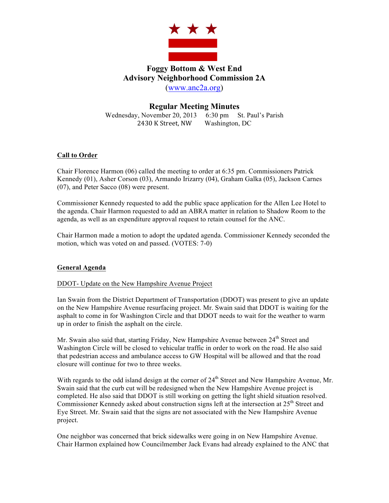

# **Foggy Bottom & West End Advisory Neighborhood Commission 2A** (www.anc2a.org)

# **Regular Meeting Minutes**

Wednesday, November 20, 2013 6:30 pm St. Paul's Parish 2430 K Street, NW Washington, DC

## **Call to Order**

Chair Florence Harmon (06) called the meeting to order at 6:35 pm. Commissioners Patrick Kennedy (01), Asher Corson (03), Armando Irizarry (04), Graham Galka (05), Jackson Carnes (07), and Peter Sacco (08) were present.

Commissioner Kennedy requested to add the public space application for the Allen Lee Hotel to the agenda. Chair Harmon requested to add an ABRA matter in relation to Shadow Room to the agenda, as well as an expenditure approval request to retain counsel for the ANC.

Chair Harmon made a motion to adopt the updated agenda. Commissioner Kennedy seconded the motion, which was voted on and passed. (VOTES: 7-0)

## **General Agenda**

## DDOT- Update on the New Hampshire Avenue Project

Ian Swain from the District Department of Transportation (DDOT) was present to give an update on the New Hampshire Avenue resurfacing project. Mr. Swain said that DDOT is waiting for the asphalt to come in for Washington Circle and that DDOT needs to wait for the weather to warm up in order to finish the asphalt on the circle.

Mr. Swain also said that, starting Friday, New Hampshire Avenue between  $24<sup>th</sup>$  Street and Washington Circle will be closed to vehicular traffic in order to work on the road. He also said that pedestrian access and ambulance access to GW Hospital will be allowed and that the road closure will continue for two to three weeks.

With regards to the odd island design at the corner of 24<sup>th</sup> Street and New Hampshire Avenue, Mr. Swain said that the curb cut will be redesigned when the New Hampshire Avenue project is completed. He also said that DDOT is still working on getting the light shield situation resolved. Commissioner Kennedy asked about construction signs left at the intersection at  $25<sup>th</sup>$  Street and Eye Street. Mr. Swain said that the signs are not associated with the New Hampshire Avenue project.

One neighbor was concerned that brick sidewalks were going in on New Hampshire Avenue. Chair Harmon explained how Councilmember Jack Evans had already explained to the ANC that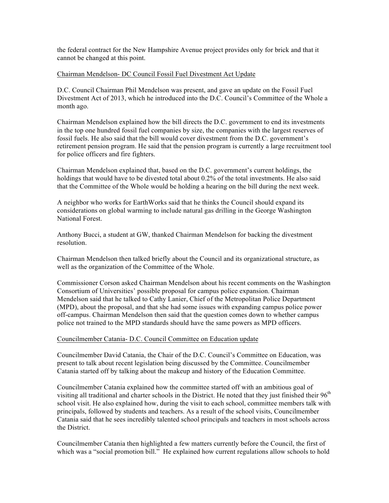the federal contract for the New Hampshire Avenue project provides only for brick and that it cannot be changed at this point.

#### Chairman Mendelson- DC Council Fossil Fuel Divestment Act Update

D.C. Council Chairman Phil Mendelson was present, and gave an update on the Fossil Fuel Divestment Act of 2013, which he introduced into the D.C. Council's Committee of the Whole a month ago.

Chairman Mendelson explained how the bill directs the D.C. government to end its investments in the top one hundred fossil fuel companies by size, the companies with the largest reserves of fossil fuels. He also said that the bill would cover divestment from the D.C. government's retirement pension program. He said that the pension program is currently a large recruitment tool for police officers and fire fighters.

Chairman Mendelson explained that, based on the D.C. government's current holdings, the holdings that would have to be divested total about 0.2% of the total investments. He also said that the Committee of the Whole would be holding a hearing on the bill during the next week.

A neighbor who works for EarthWorks said that he thinks the Council should expand its considerations on global warming to include natural gas drilling in the George Washington National Forest.

Anthony Bucci, a student at GW, thanked Chairman Mendelson for backing the divestment resolution.

Chairman Mendelson then talked briefly about the Council and its organizational structure, as well as the organization of the Committee of the Whole.

Commissioner Corson asked Chairman Mendelson about his recent comments on the Washington Consortium of Universities' possible proposal for campus police expansion. Chairman Mendelson said that he talked to Cathy Lanier, Chief of the Metropolitan Police Department (MPD), about the proposal, and that she had some issues with expanding campus police power off-campus. Chairman Mendelson then said that the question comes down to whether campus police not trained to the MPD standards should have the same powers as MPD officers.

#### Councilmember Catania- D.C. Council Committee on Education update

Councilmember David Catania, the Chair of the D.C. Council's Committee on Education, was present to talk about recent legislation being discussed by the Committee. Councilmember Catania started off by talking about the makeup and history of the Education Committee.

Councilmember Catania explained how the committee started off with an ambitious goal of visiting all traditional and charter schools in the District. He noted that they just finished their 96<sup>th</sup> school visit. He also explained how, during the visit to each school, committee members talk with principals, followed by students and teachers. As a result of the school visits, Councilmember Catania said that he sees incredibly talented school principals and teachers in most schools across the District.

Councilmember Catania then highlighted a few matters currently before the Council, the first of which was a "social promotion bill." He explained how current regulations allow schools to hold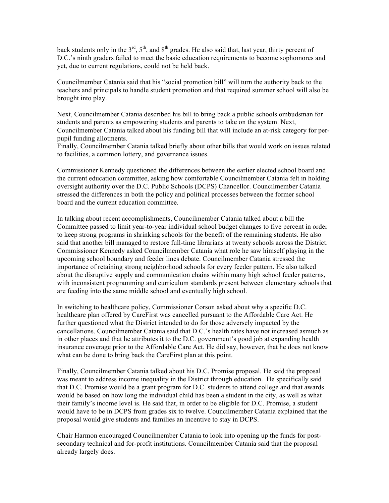back students only in the  $3<sup>rd</sup>$ ,  $5<sup>th</sup>$ , and  $8<sup>th</sup>$  grades. He also said that, last year, thirty percent of D.C.'s ninth graders failed to meet the basic education requirements to become sophomores and yet, due to current regulations, could not be held back.

Councilmember Catania said that his "social promotion bill" will turn the authority back to the teachers and principals to handle student promotion and that required summer school will also be brought into play.

Next, Councilmember Catania described his bill to bring back a public schools ombudsman for students and parents as empowering students and parents to take on the system. Next, Councilmember Catania talked about his funding bill that will include an at-risk category for perpupil funding allotments.

Finally, Councilmember Catania talked briefly about other bills that would work on issues related to facilities, a common lottery, and governance issues.

Commissioner Kennedy questioned the differences between the earlier elected school board and the current education committee, asking how comfortable Councilmember Catania felt in holding oversight authority over the D.C. Public Schools (DCPS) Chancellor. Councilmember Catania stressed the differences in both the policy and political processes between the former school board and the current education committee.

In talking about recent accomplishments, Councilmember Catania talked about a bill the Committee passed to limit year-to-year individual school budget changes to five percent in order to keep strong programs in shrinking schools for the benefit of the remaining students. He also said that another bill managed to restore full-time librarians at twenty schools across the District. Commissioner Kennedy asked Councilmember Catania what role he saw himself playing in the upcoming school boundary and feeder lines debate. Councilmember Catania stressed the importance of retaining strong neighborhood schools for every feeder pattern. He also talked about the disruptive supply and communication chains within many high school feeder patterns, with inconsistent programming and curriculum standards present between elementary schools that are feeding into the same middle school and eventually high school.

In switching to healthcare policy, Commissioner Corson asked about why a specific D.C. healthcare plan offered by CareFirst was cancelled pursuant to the Affordable Care Act. He further questioned what the District intended to do for those adversely impacted by the cancellations. Councilmember Catania said that D.C.'s health rates have not increased asmuch as in other places and that he attributes it to the D.C. government's good job at expanding health insurance coverage prior to the Affordable Care Act. He did say, however, that he does not know what can be done to bring back the CareFirst plan at this point.

Finally, Councilmember Catania talked about his D.C. Promise proposal. He said the proposal was meant to address income inequality in the District through education. He specifically said that D.C. Promise would be a grant program for D.C. students to attend college and that awards would be based on how long the individual child has been a student in the city, as well as what their family's income level is. He said that, in order to be eligible for D.C. Promise, a student would have to be in DCPS from grades six to twelve. Councilmember Catania explained that the proposal would give students and families an incentive to stay in DCPS.

Chair Harmon encouraged Councilmember Catania to look into opening up the funds for postsecondary technical and for-profit institutions. Councilmember Catania said that the proposal already largely does.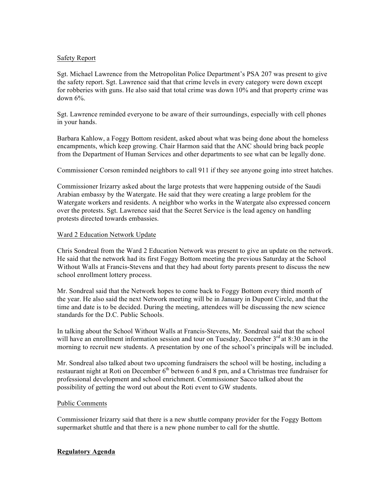## Safety Report

Sgt. Michael Lawrence from the Metropolitan Police Department's PSA 207 was present to give the safety report. Sgt. Lawrence said that that crime levels in every category were down except for robberies with guns. He also said that total crime was down 10% and that property crime was down 6%.

Sgt. Lawrence reminded everyone to be aware of their surroundings, especially with cell phones in your hands.

Barbara Kahlow, a Foggy Bottom resident, asked about what was being done about the homeless encampments, which keep growing. Chair Harmon said that the ANC should bring back people from the Department of Human Services and other departments to see what can be legally done.

Commissioner Corson reminded neighbors to call 911 if they see anyone going into street hatches.

Commissioner Irizarry asked about the large protests that were happening outside of the Saudi Arabian embassy by the Watergate. He said that they were creating a large problem for the Watergate workers and residents. A neighbor who works in the Watergate also expressed concern over the protests. Sgt. Lawrence said that the Secret Service is the lead agency on handling protests directed towards embassies.

#### Ward 2 Education Network Update

Chris Sondreal from the Ward 2 Education Network was present to give an update on the network. He said that the network had its first Foggy Bottom meeting the previous Saturday at the School Without Walls at Francis-Stevens and that they had about forty parents present to discuss the new school enrollment lottery process.

Mr. Sondreal said that the Network hopes to come back to Foggy Bottom every third month of the year. He also said the next Network meeting will be in January in Dupont Circle, and that the time and date is to be decided. During the meeting, attendees will be discussing the new science standards for the D.C. Public Schools.

In talking about the School Without Walls at Francis-Stevens, Mr. Sondreal said that the school will have an enrollment information session and tour on Tuesday, December  $3<sup>rd</sup>$  at 8:30 am in the morning to recruit new students. A presentation by one of the school's principals will be included.

Mr. Sondreal also talked about two upcoming fundraisers the school will be hosting, including a restaurant night at Roti on December  $6<sup>th</sup>$  between 6 and 8 pm, and a Christmas tree fundraiser for professional development and school enrichment. Commissioner Sacco talked about the possibility of getting the word out about the Roti event to GW students.

#### Public Comments

Commissioner Irizarry said that there is a new shuttle company provider for the Foggy Bottom supermarket shuttle and that there is a new phone number to call for the shuttle.

#### **Regulatory Agenda**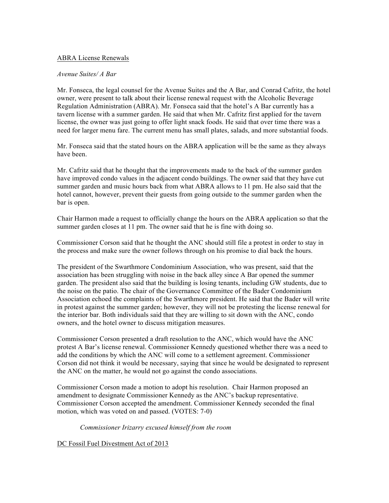## ABRA License Renewals

## *Avenue Suites/ A Bar*

Mr. Fonseca, the legal counsel for the Avenue Suites and the A Bar, and Conrad Cafritz, the hotel owner, were present to talk about their license renewal request with the Alcoholic Beverage Regulation Administration (ABRA). Mr. Fonseca said that the hotel's A Bar currently has a tavern license with a summer garden. He said that when Mr. Cafritz first applied for the tavern license, the owner was just going to offer light snack foods. He said that over time there was a need for larger menu fare. The current menu has small plates, salads, and more substantial foods.

Mr. Fonseca said that the stated hours on the ABRA application will be the same as they always have been.

Mr. Cafritz said that he thought that the improvements made to the back of the summer garden have improved condo values in the adjacent condo buildings. The owner said that they have cut summer garden and music hours back from what ABRA allows to 11 pm. He also said that the hotel cannot, however, prevent their guests from going outside to the summer garden when the bar is open.

Chair Harmon made a request to officially change the hours on the ABRA application so that the summer garden closes at 11 pm. The owner said that he is fine with doing so.

Commissioner Corson said that he thought the ANC should still file a protest in order to stay in the process and make sure the owner follows through on his promise to dial back the hours.

The president of the Swarthmore Condominium Association, who was present, said that the association has been struggling with noise in the back alley since A Bar opened the summer garden. The president also said that the building is losing tenants, including GW students, due to the noise on the patio. The chair of the Governance Committee of the Bader Condominium Association echoed the complaints of the Swarthmore president. He said that the Bader will write in protest against the summer garden; however, they will not be protesting the license renewal for the interior bar. Both individuals said that they are willing to sit down with the ANC, condo owners, and the hotel owner to discuss mitigation measures.

Commissioner Corson presented a draft resolution to the ANC, which would have the ANC protest A Bar's license renewal. Commissioner Kennedy questioned whether there was a need to add the conditions by which the ANC will come to a settlement agreement. Commissioner Corson did not think it would be necessary, saying that since he would be designated to represent the ANC on the matter, he would not go against the condo associations.

Commissioner Corson made a motion to adopt his resolution. Chair Harmon proposed an amendment to designate Commissioner Kennedy as the ANC's backup representative. Commissioner Corson accepted the amendment. Commissioner Kennedy seconded the final motion, which was voted on and passed. (VOTES: 7-0)

*Commissioner Irizarry excused himself from the room*

DC Fossil Fuel Divestment Act of 2013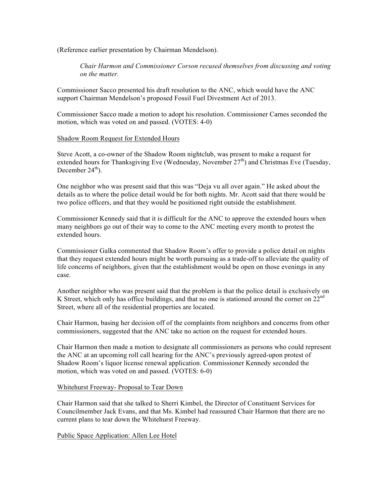(Reference earlier presentation by Chairman Mendelson).

*Chair Harmon and Commissioner Corson recused themselves from discussing and voting on the matter.*

Commissioner Sacco presented his draft resolution to the ANC, which would have the ANC support Chairman Mendelson's proposed Fossil Fuel Divestment Act of 2013.

Commissioner Sacco made a motion to adopt his resolution. Commissioner Carnes seconded the motion, which was voted on and passed. (VOTES: 4-0)

#### Shadow Room Request for Extended Hours

Steve Acott, a co-owner of the Shadow Room nightclub, was present to make a request for extended hours for Thanksgiving Eve (Wednesday, November  $27<sup>th</sup>$ ) and Christmas Eve (Tuesday, December  $24<sup>th</sup>$ ).

One neighbor who was present said that this was "Deja vu all over again." He asked about the details as to where the police detail would be for both nights. Mr. Acott said that there would be two police officers, and that they would be positioned right outside the establishment.

Commissioner Kennedy said that it is difficult for the ANC to approve the extended hours when many neighbors go out of their way to come to the ANC meeting every month to protest the extended hours.

Commissioner Galka commented that Shadow Room's offer to provide a police detail on nights that they request extended hours might be worth pursuing as a trade-off to alleviate the quality of life concerns of neighbors, given that the establishment would be open on those evenings in any case.

Another neighbor who was present said that the problem is that the police detail is exclusively on K Street, which only has office buildings, and that no one is stationed around the corner on  $22^{nd}$ Street, where all of the residential properties are located.

Chair Harmon, basing her decision off of the complaints from neighbors and concerns from other commissioners, suggested that the ANC take no action on the request for extended hours.

Chair Harmon then made a motion to designate all commissioners as persons who could represent the ANC at an upcoming roll call hearing for the ANC's previously agreed-upon protest of Shadow Room's liquor license renewal application. Commissioner Kennedy seconded the motion, which was voted on and passed. (VOTES: 6-0)

## Whitehurst Freeway- Proposal to Tear Down

Chair Harmon said that she talked to Sherri Kimbel, the Director of Constituent Services for Councilmember Jack Evans, and that Ms. Kimbel had reassured Chair Harmon that there are no current plans to tear down the Whitehurst Freeway.

#### Public Space Application: Allen Lee Hotel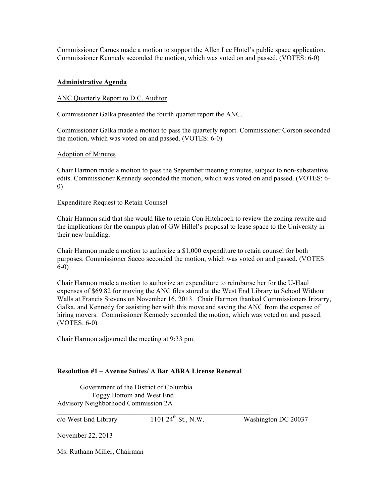Commissioner Carnes made a motion to support the Allen Lee Hotel's public space application. Commissioner Kennedy seconded the motion, which was voted on and passed. (VOTES: 6-0)

## **Administrative Agenda**

#### ANC Quarterly Report to D.C. Auditor

Commissioner Galka presented the fourth quarter report the ANC.

Commissioner Galka made a motion to pass the quarterly report. Commissioner Corson seconded the motion, which was voted on and passed. (VOTES: 6-0)

#### Adoption of Minutes

Chair Harmon made a motion to pass the September meeting minutes, subject to non-substantive edits. Commissioner Kennedy seconded the motion, which was voted on and passed. (VOTES: 6- 0)

#### Expenditure Request to Retain Counsel

Chair Harmon said that she would like to retain Con Hitchcock to review the zoning rewrite and the implications for the campus plan of GW Hillel's proposal to lease space to the University in their new building.

Chair Harmon made a motion to authorize a \$1,000 expenditure to retain counsel for both purposes. Commissioner Sacco seconded the motion, which was voted on and passed. (VOTES: 6-0)

Chair Harmon made a motion to authorize an expenditure to reimburse her for the U-Haul expenses of \$69.82 for moving the ANC files stored at the West End Library to School Without Walls at Francis Stevens on November 16, 2013. Chair Harmon thanked Commissioners Irizarry, Galka, and Kennedy for assisting her with this move and saving the ANC from the expense of hiring movers. Commissioner Kennedy seconded the motion, which was voted on and passed. (VOTES: 6-0)

Chair Harmon adjourned the meeting at 9:33 pm.

#### **Resolution #1 – Avenue Suites/ A Bar ABRA License Renewal**

 $\mathcal{L}_\text{max} = \mathcal{L}_\text{max} = \mathcal{L}_\text{max} = \mathcal{L}_\text{max} = \mathcal{L}_\text{max} = \mathcal{L}_\text{max} = \mathcal{L}_\text{max} = \mathcal{L}_\text{max} = \mathcal{L}_\text{max} = \mathcal{L}_\text{max} = \mathcal{L}_\text{max} = \mathcal{L}_\text{max} = \mathcal{L}_\text{max} = \mathcal{L}_\text{max} = \mathcal{L}_\text{max} = \mathcal{L}_\text{max} = \mathcal{L}_\text{max} = \mathcal{L}_\text{max} = \mathcal{$ 

Government of the District of Columbia Foggy Bottom and West End Advisory Neighborhood Commission 2A

 $\overline{c}/\overline{o}$  West End Library 1101 24<sup>th</sup> St., N.W. Washington DC 20037

November 22, 2013

Ms. Ruthann Miller, Chairman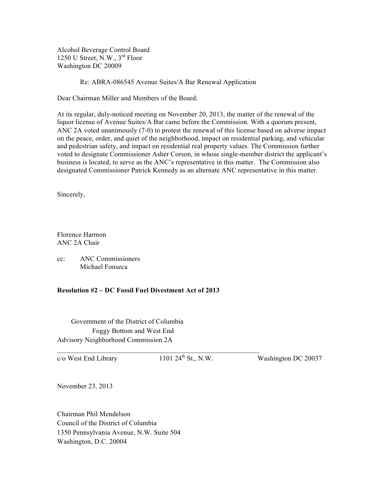Alcohol Beverage Control Board 1250 U Street, N.W., 3rd Floor Washington DC 20009

Re: ABRA-086545 Avenue Suites/A Bar Renewal Application

Dear Chairman Miller and Members of the Board:

At its regular, duly-noticed meeting on November 20, 2013, the matter of the renewal of the liquor license of Avenue Suites/A Bar came before the Commission. With a quorum present, ANC 2A voted unanimously (7-0) to protest the renewal of this license based on adverse impact on the peace, order, and quiet of the neighborhood, impact on residential parking, and vehicular and pedestrian safety, and impact on residential real property values. The Commission further voted to designate Commissioner Asher Corson, in whose single-member district the applicant's business is located, to serve as the ANC's representative in this matter. The Commission also designated Commissioner Patrick Kennedy as an alternate ANC representative in this matter.

Sincerely,

Florence Harmon ANC 2A Chair

cc: ANC Commissioners Michael Fonseca

## **Resolution #2 – DC Fossil Fuel Divestment Act of 2013**

 $\mathcal{L}_\text{max} = \mathcal{L}_\text{max} = \mathcal{L}_\text{max} = \mathcal{L}_\text{max} = \mathcal{L}_\text{max} = \mathcal{L}_\text{max} = \mathcal{L}_\text{max} = \mathcal{L}_\text{max} = \mathcal{L}_\text{max} = \mathcal{L}_\text{max} = \mathcal{L}_\text{max} = \mathcal{L}_\text{max} = \mathcal{L}_\text{max} = \mathcal{L}_\text{max} = \mathcal{L}_\text{max} = \mathcal{L}_\text{max} = \mathcal{L}_\text{max} = \mathcal{L}_\text{max} = \mathcal{$ 

 Government of the District of Columbia Foggy Bottom and West End Advisory Neighborhood Commission 2A

 $c/\text{o}$  West End Library 1101 24<sup>th</sup> St., N.W. Washington DC 20037

November 23, 2013

Chairman Phil Mendelson Council of the District of Columbia 1350 Pennsylvania Avenue, N.W. Suite 504 Washington, D.C. 20004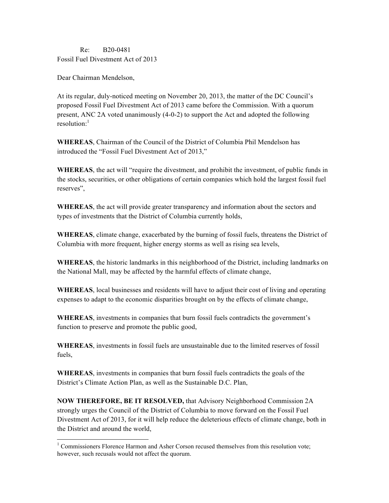# Re: B20-0481 Fossil Fuel Divestment Act of 2013

Dear Chairman Mendelson,

At its regular, duly-noticed meeting on November 20, 2013, the matter of the DC Council's proposed Fossil Fuel Divestment Act of 2013 came before the Commission. With a quorum present, ANC 2A voted unanimously (4-0-2) to support the Act and adopted the following resolution: $<sup>1</sup>$ </sup>

**WHEREAS**, Chairman of the Council of the District of Columbia Phil Mendelson has introduced the "Fossil Fuel Divestment Act of 2013,"

**WHEREAS**, the act will "require the divestment, and prohibit the investment, of public funds in the stocks, securities, or other obligations of certain companies which hold the largest fossil fuel reserves",

**WHEREAS**, the act will provide greater transparency and information about the sectors and types of investments that the District of Columbia currently holds,

**WHEREAS**, climate change, exacerbated by the burning of fossil fuels, threatens the District of Columbia with more frequent, higher energy storms as well as rising sea levels,

**WHEREAS**, the historic landmarks in this neighborhood of the District, including landmarks on the National Mall, may be affected by the harmful effects of climate change,

**WHEREAS**, local businesses and residents will have to adjust their cost of living and operating expenses to adapt to the economic disparities brought on by the effects of climate change,

**WHEREAS**, investments in companies that burn fossil fuels contradicts the government's function to preserve and promote the public good,

**WHEREAS**, investments in fossil fuels are unsustainable due to the limited reserves of fossil fuels,

**WHEREAS**, investments in companies that burn fossil fuels contradicts the goals of the District's Climate Action Plan, as well as the Sustainable D.C. Plan,

**NOW THEREFORE, BE IT RESOLVED,** that Advisory Neighborhood Commission 2A strongly urges the Council of the District of Columbia to move forward on the Fossil Fuel Divestment Act of 2013, for it will help reduce the deleterious effects of climate change, both in the District and around the world,

<sup>&</sup>lt;sup>1</sup> Commissioners Florence Harmon and Asher Corson recused themselves from this resolution vote; however, such recusals would not affect the quorum.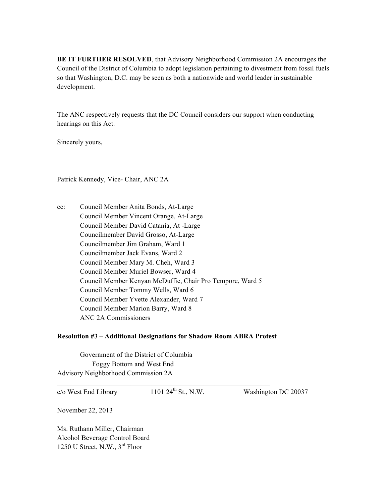**BE IT FURTHER RESOLVED**, that Advisory Neighborhood Commission 2A encourages the Council of the District of Columbia to adopt legislation pertaining to divestment from fossil fuels so that Washington, D.C. may be seen as both a nationwide and world leader in sustainable development.

The ANC respectively requests that the DC Council considers our support when conducting hearings on this Act.

Sincerely yours,

Patrick Kennedy, Vice- Chair, ANC 2A

cc: Council Member Anita Bonds, At-Large Council Member Vincent Orange, At-Large Council Member David Catania, At -Large Councilmember David Grosso, At-Large Councilmember Jim Graham, Ward 1 Councilmember Jack Evans, Ward 2 Council Member Mary M. Cheh, Ward 3 Council Member Muriel Bowser, Ward 4 Council Member Kenyan McDuffie, Chair Pro Tempore, Ward 5 Council Member Tommy Wells, Ward 6 Council Member Yvette Alexander, Ward 7 Council Member Marion Barry, Ward 8 ANC 2A Commissioners

## **Resolution #3 – Additional Designations for Shadow Room ABRA Protest**

Government of the District of Columbia Foggy Bottom and West End Advisory Neighborhood Commission 2A

 $c/\text{o}$  West End Library 1101 24<sup>th</sup> St., N.W. Washington DC 20037

November 22, 2013

Ms. Ruthann Miller, Chairman Alcohol Beverage Control Board 1250 U Street, N.W., 3rd Floor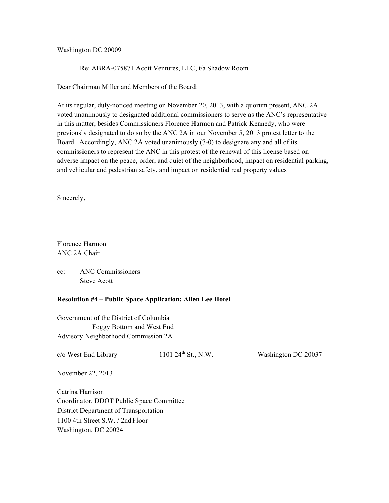Washington DC 20009

Re: ABRA-075871 Acott Ventures, LLC, t/a Shadow Room

Dear Chairman Miller and Members of the Board:

At its regular, duly-noticed meeting on November 20, 2013, with a quorum present, ANC 2A voted unanimously to designated additional commissioners to serve as the ANC's representative in this matter, besides Commissioners Florence Harmon and Patrick Kennedy, who were previously designated to do so by the ANC 2A in our November 5, 2013 protest letter to the Board. Accordingly, ANC 2A voted unanimously (7-0) to designate any and all of its commissioners to represent the ANC in this protest of the renewal of this license based on adverse impact on the peace, order, and quiet of the neighborhood, impact on residential parking, and vehicular and pedestrian safety, and impact on residential real property values

Sincerely,

Florence Harmon ANC 2A Chair

cc: ANC Commissioners Steve Acott

## **Resolution #4 – Public Space Application: Allen Lee Hotel**

Government of the District of Columbia Foggy Bottom and West End Advisory Neighborhood Commission 2A

 $\overline{\phantom{a}}$  , and the contribution of the contribution of  $\overline{\phantom{a}}$  , and  $\overline{\phantom{a}}$  , and  $\overline{\phantom{a}}$  , and  $\overline{\phantom{a}}$  , and  $\overline{\phantom{a}}$  , and  $\overline{\phantom{a}}$  , and  $\overline{\phantom{a}}$  , and  $\overline{\phantom{a}}$  , and  $\overline{\phantom{a}}$  , and  $c/\text{o}$  West End Library 1101 24<sup>th</sup> St., N.W. Washington DC 20037

November 22, 2013

Catrina Harrison Coordinator, DDOT Public Space Committee District Department of Transportation 1100 4th Street S.W. / 2nd Floor Washington, DC 20024